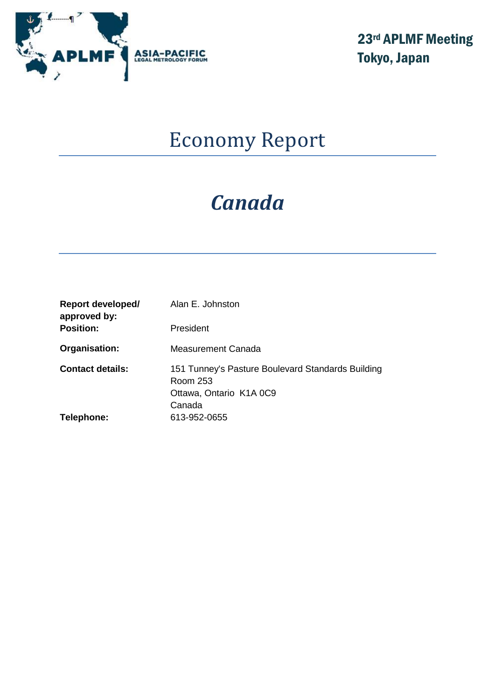

23rd APLMF Meeting Tokyo, Japan

# Economy Report

# *Canada*

| Report developed/<br>approved by: | Alan E. Johnston                                                                                   |
|-----------------------------------|----------------------------------------------------------------------------------------------------|
| <b>Position:</b>                  | President                                                                                          |
| Organisation:                     | Measurement Canada                                                                                 |
| <b>Contact details:</b>           | 151 Tunney's Pasture Boulevard Standards Building<br>Room 253<br>Ottawa, Ontario K1A 0C9<br>Canada |
| Telephone:                        | 613-952-0655                                                                                       |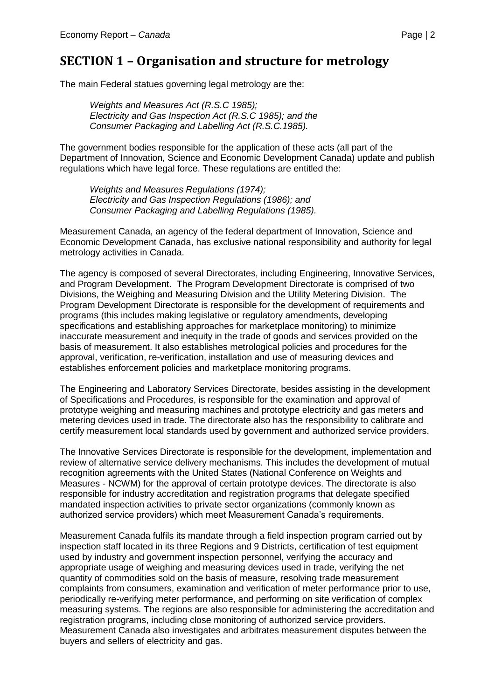The main Federal statues governing legal metrology are the:

*Weights and Measures Act (R.S.C 1985); Electricity and Gas Inspection Act (R.S.C 1985); and the Consumer Packaging and Labelling Act (R.S.C.1985).*

The government bodies responsible for the application of these acts (all part of the Department of Innovation, Science and Economic Development Canada) update and publish regulations which have legal force. These regulations are entitled the:

*Weights and Measures Regulations (1974); Electricity and Gas Inspection Regulations (1986); and Consumer Packaging and Labelling Regulations (1985).*

Measurement Canada, an agency of the federal department of Innovation, Science and Economic Development Canada, has exclusive national responsibility and authority for legal metrology activities in Canada.

The agency is composed of several Directorates, including Engineering, Innovative Services, and Program Development. The Program Development Directorate is comprised of two Divisions, the Weighing and Measuring Division and the Utility Metering Division. The Program Development Directorate is responsible for the development of requirements and programs (this includes making legislative or regulatory amendments, developing specifications and establishing approaches for marketplace monitoring) to minimize inaccurate measurement and inequity in the trade of goods and services provided on the basis of measurement. It also establishes metrological policies and procedures for the approval, verification, re-verification, installation and use of measuring devices and establishes enforcement policies and marketplace monitoring programs.

The Engineering and Laboratory Services Directorate, besides assisting in the development of Specifications and Procedures, is responsible for the examination and approval of prototype weighing and measuring machines and prototype electricity and gas meters and metering devices used in trade. The directorate also has the responsibility to calibrate and certify measurement local standards used by government and authorized service providers.

The Innovative Services Directorate is responsible for the development, implementation and review of alternative service delivery mechanisms. This includes the development of mutual recognition agreements with the United States (National Conference on Weights and Measures - NCWM) for the approval of certain prototype devices. The directorate is also responsible for industry accreditation and registration programs that delegate specified mandated inspection activities to private sector organizations (commonly known as authorized service providers) which meet Measurement Canada's requirements.

Measurement Canada fulfils its mandate through a field inspection program carried out by inspection staff located in its three Regions and 9 Districts, certification of test equipment used by industry and government inspection personnel, verifying the accuracy and appropriate usage of weighing and measuring devices used in trade, verifying the net quantity of commodities sold on the basis of measure, resolving trade measurement complaints from consumers, examination and verification of meter performance prior to use, periodically re-verifying meter performance, and performing on site verification of complex measuring systems. The regions are also responsible for administering the accreditation and registration programs, including close monitoring of authorized service providers. Measurement Canada also investigates and arbitrates measurement disputes between the buyers and sellers of electricity and gas.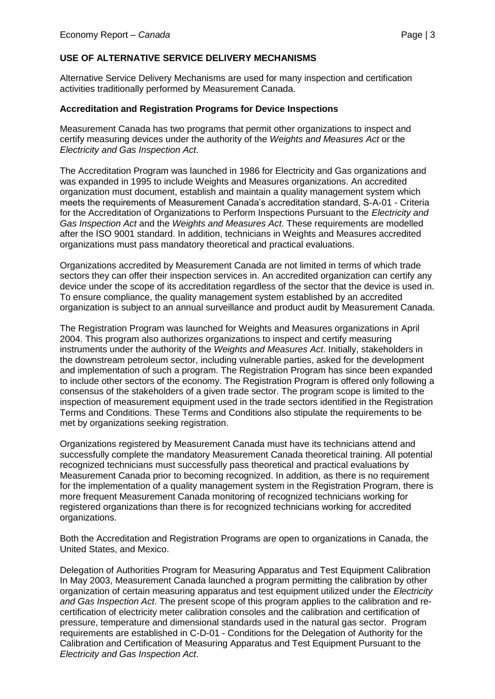## **USE OF ALTERNATIVE SERVICE DELIVERY MECHANISMS**

Alternative Service Delivery Mechanisms are used for many inspection and certification activities traditionally performed by Measurement Canada.

#### **Accreditation and Registration Programs for Device Inspections**

Measurement Canada has two programs that permit other organizations to inspect and certify measuring devices under the authority of the *Weights and Measures Act* or the *Electricity and Gas Inspection Act*.

The Accreditation Program was launched in 1986 for Electricity and Gas organizations and was expanded in 1995 to include Weights and Measures organizations. An accredited organization must document, establish and maintain a quality management system which meets the requirements of Measurement Canada's accreditation standard, S-A-01 - Criteria for the Accreditation of Organizations to Perform Inspections Pursuant to the *Electricity and Gas Inspection Act* and the *Weights and Measures Act*. These requirements are modelled after the ISO 9001 standard. In addition, technicians in Weights and Measures accredited organizations must pass mandatory theoretical and practical evaluations.

Organizations accredited by Measurement Canada are not limited in terms of which trade sectors they can offer their inspection services in. An accredited organization can certify any device under the scope of its accreditation regardless of the sector that the device is used in. To ensure compliance, the quality management system established by an accredited organization is subject to an annual surveillance and product audit by Measurement Canada.

The Registration Program was launched for Weights and Measures organizations in April 2004. This program also authorizes organizations to inspect and certify measuring instruments under the authority of the *Weights and Measures Act*. Initially, stakeholders in the downstream petroleum sector, including vulnerable parties, asked for the development and implementation of such a program. The Registration Program has since been expanded to include other sectors of the economy. The Registration Program is offered only following a consensus of the stakeholders of a given trade sector. The program scope is limited to the inspection of measurement equipment used in the trade sectors identified in the Registration Terms and Conditions. These Terms and Conditions also stipulate the requirements to be met by organizations seeking registration.

Organizations registered by Measurement Canada must have its technicians attend and successfully complete the mandatory Measurement Canada theoretical training. All potential recognized technicians must successfully pass theoretical and practical evaluations by Measurement Canada prior to becoming recognized. In addition, as there is no requirement for the implementation of a quality management system in the Registration Program, there is more frequent Measurement Canada monitoring of recognized technicians working for registered organizations than there is for recognized technicians working for accredited organizations.

Both the Accreditation and Registration Programs are open to organizations in Canada, the United States, and Mexico.

Delegation of Authorities Program for Measuring Apparatus and Test Equipment Calibration In May 2003, Measurement Canada launched a program permitting the calibration by other organization of certain measuring apparatus and test equipment utilized under the *Electricity and Gas Inspection Act*. The present scope of this program applies to the calibration and recertification of electricity meter calibration consoles and the calibration and certification of pressure, temperature and dimensional standards used in the natural gas sector. Program requirements are established in C-D-01 - Conditions for the Delegation of Authority for the Calibration and Certification of Measuring Apparatus and Test Equipment Pursuant to the *Electricity and Gas Inspection Act*.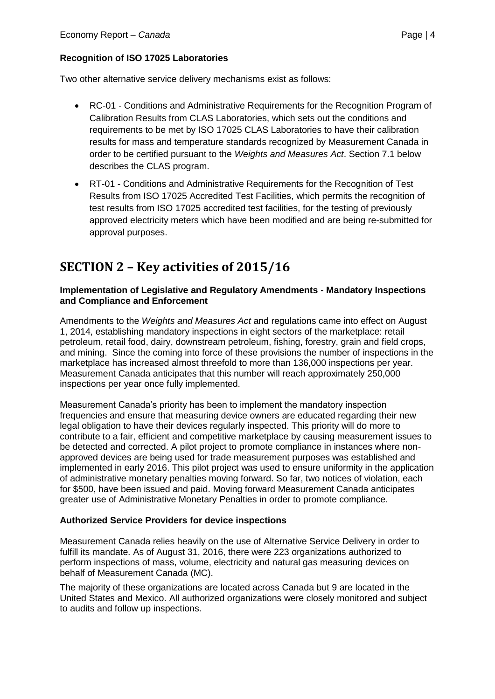Two other alternative service delivery mechanisms exist as follows:

- RC-01 Conditions and Administrative Requirements for the Recognition Program of Calibration Results from CLAS Laboratories, which sets out the conditions and requirements to be met by ISO 17025 CLAS Laboratories to have their calibration results for mass and temperature standards recognized by Measurement Canada in order to be certified pursuant to the *Weights and Measures Act*. Section 7.1 below describes the CLAS program.
- RT-01 Conditions and Administrative Requirements for the Recognition of Test Results from ISO 17025 Accredited Test Facilities, which permits the recognition of test results from ISO 17025 accredited test facilities, for the testing of previously approved electricity meters which have been modified and are being re-submitted for approval purposes.

# **SECTION 2 – Key activities of 2015/16**

### **Implementation of Legislative and Regulatory Amendments - Mandatory Inspections and Compliance and Enforcement**

Amendments to the *Weights and Measures Act* and regulations came into effect on August 1, 2014, establishing mandatory inspections in eight sectors of the marketplace: retail petroleum, retail food, dairy, downstream petroleum, fishing, forestry, grain and field crops, and mining. Since the coming into force of these provisions the number of inspections in the marketplace has increased almost threefold to more than 136,000 inspections per year. Measurement Canada anticipates that this number will reach approximately 250,000 inspections per year once fully implemented.

Measurement Canada's priority has been to implement the mandatory inspection frequencies and ensure that measuring device owners are educated regarding their new legal obligation to have their devices regularly inspected. This priority will do more to contribute to a fair, efficient and competitive marketplace by causing measurement issues to be detected and corrected. A pilot project to promote compliance in instances where nonapproved devices are being used for trade measurement purposes was established and implemented in early 2016. This pilot project was used to ensure uniformity in the application of administrative monetary penalties moving forward. So far, two notices of violation, each for \$500, have been issued and paid. Moving forward Measurement Canada anticipates greater use of Administrative Monetary Penalties in order to promote compliance.

# **Authorized Service Providers for device inspections**

Measurement Canada relies heavily on the use of Alternative Service Delivery in order to fulfill its mandate. As of August 31, 2016, there were 223 organizations authorized to perform inspections of mass, volume, electricity and natural gas measuring devices on behalf of Measurement Canada (MC).

The majority of these organizations are located across Canada but 9 are located in the United States and Mexico. All authorized organizations were closely monitored and subject to audits and follow up inspections.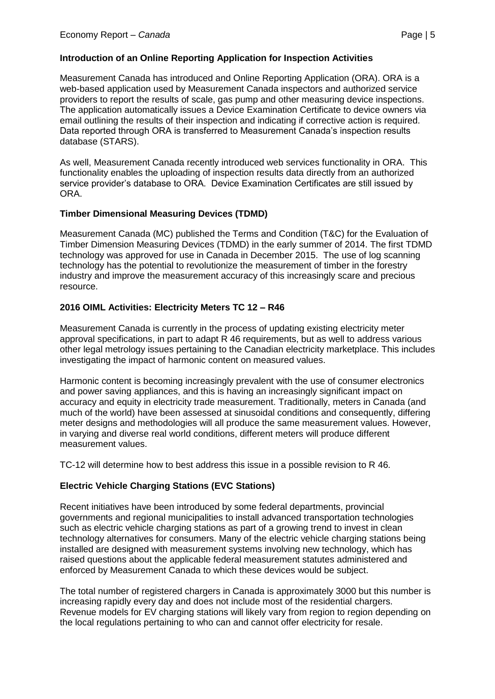#### **Introduction of an Online Reporting Application for Inspection Activities**

Measurement Canada has introduced and Online Reporting Application (ORA). ORA is a web-based application used by Measurement Canada inspectors and authorized service providers to report the results of scale, gas pump and other measuring device inspections. The application automatically issues a Device Examination Certificate to device owners via email outlining the results of their inspection and indicating if corrective action is required. Data reported through ORA is transferred to Measurement Canada's inspection results database (STARS).

As well, Measurement Canada recently introduced web services functionality in ORA. This functionality enables the uploading of inspection results data directly from an authorized service provider's database to ORA. Device Examination Certificates are still issued by ORA.

#### **Timber Dimensional Measuring Devices (TDMD)**

Measurement Canada (MC) published the Terms and Condition (T&C) for the Evaluation of Timber Dimension Measuring Devices (TDMD) in the early summer of 2014. The first TDMD technology was approved for use in Canada in December 2015. The use of log scanning technology has the potential to revolutionize the measurement of timber in the forestry industry and improve the measurement accuracy of this increasingly scare and precious resource.

#### **2016 OIML Activities: Electricity Meters TC 12 – R46**

Measurement Canada is currently in the process of updating existing electricity meter approval specifications, in part to adapt R 46 requirements, but as well to address various other legal metrology issues pertaining to the Canadian electricity marketplace. This includes investigating the impact of harmonic content on measured values.

Harmonic content is becoming increasingly prevalent with the use of consumer electronics and power saving appliances, and this is having an increasingly significant impact on accuracy and equity in electricity trade measurement. Traditionally, meters in Canada (and much of the world) have been assessed at sinusoidal conditions and consequently, differing meter designs and methodologies will all produce the same measurement values. However, in varying and diverse real world conditions, different meters will produce different measurement values.

TC-12 will determine how to best address this issue in a possible revision to R 46.

#### **Electric Vehicle Charging Stations (EVC Stations)**

Recent initiatives have been introduced by some federal departments, provincial governments and regional municipalities to install advanced transportation technologies such as electric vehicle charging stations as part of a growing trend to invest in clean technology alternatives for consumers. Many of the electric vehicle charging stations being installed are designed with measurement systems involving new technology, which has raised questions about the applicable federal measurement statutes administered and enforced by Measurement Canada to which these devices would be subject.

The total number of registered chargers in Canada is approximately 3000 but this number is increasing rapidly every day and does not include most of the residential chargers. Revenue models for EV charging stations will likely vary from region to region depending on the local regulations pertaining to who can and cannot offer electricity for resale.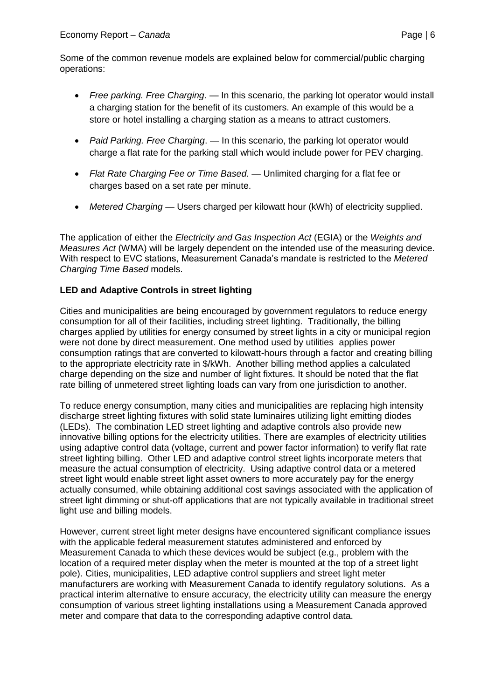Some of the common revenue models are explained below for commercial/public charging operations:

- *Free parking. Free Charging*. In this scenario, the parking lot operator would install a charging station for the benefit of its customers. An example of this would be a store or hotel installing a charging station as a means to attract customers.
- *Paid Parking. Free Charging*. In this scenario, the parking lot operator would charge a flat rate for the parking stall which would include power for PEV charging.
- *Flat Rate Charging Fee or Time Based.* Unlimited charging for a flat fee or charges based on a set rate per minute.
- *Metered Charging* Users charged per kilowatt hour (kWh) of electricity supplied.

The application of either the *Electricity and Gas Inspection Act* (EGIA) or the *Weights and Measures Act* (WMA) will be largely dependent on the intended use of the measuring device. With respect to EVC stations, Measurement Canada's mandate is restricted to the *Metered Charging Time Based* models.

### **LED and Adaptive Controls in street lighting**

Cities and municipalities are being encouraged by government regulators to reduce energy consumption for all of their facilities, including street lighting. Traditionally, the billing charges applied by utilities for energy consumed by street lights in a city or municipal region were not done by direct measurement. One method used by utilities applies power consumption ratings that are converted to kilowatt-hours through a factor and creating billing to the appropriate electricity rate in \$/kWh. Another billing method applies a calculated charge depending on the size and number of light fixtures. It should be noted that the flat rate billing of unmetered street lighting loads can vary from one jurisdiction to another.

To reduce energy consumption, many cities and municipalities are replacing high intensity discharge street lighting fixtures with solid state luminaires utilizing light emitting diodes (LEDs). The combination LED street lighting and adaptive controls also provide new innovative billing options for the electricity utilities. There are examples of electricity utilities using adaptive control data (voltage, current and power factor information) to verify flat rate street lighting billing. Other LED and adaptive control street lights incorporate meters that measure the actual consumption of electricity. Using adaptive control data or a metered street light would enable street light asset owners to more accurately pay for the energy actually consumed, while obtaining additional cost savings associated with the application of street light dimming or shut-off applications that are not typically available in traditional street light use and billing models.

However, current street light meter designs have encountered significant compliance issues with the applicable federal measurement statutes administered and enforced by Measurement Canada to which these devices would be subject (e.g., problem with the location of a required meter display when the meter is mounted at the top of a street light pole). Cities, municipalities, LED adaptive control suppliers and street light meter manufacturers are working with Measurement Canada to identify regulatory solutions. As a practical interim alternative to ensure accuracy, the electricity utility can measure the energy consumption of various street lighting installations using a Measurement Canada approved meter and compare that data to the corresponding adaptive control data.